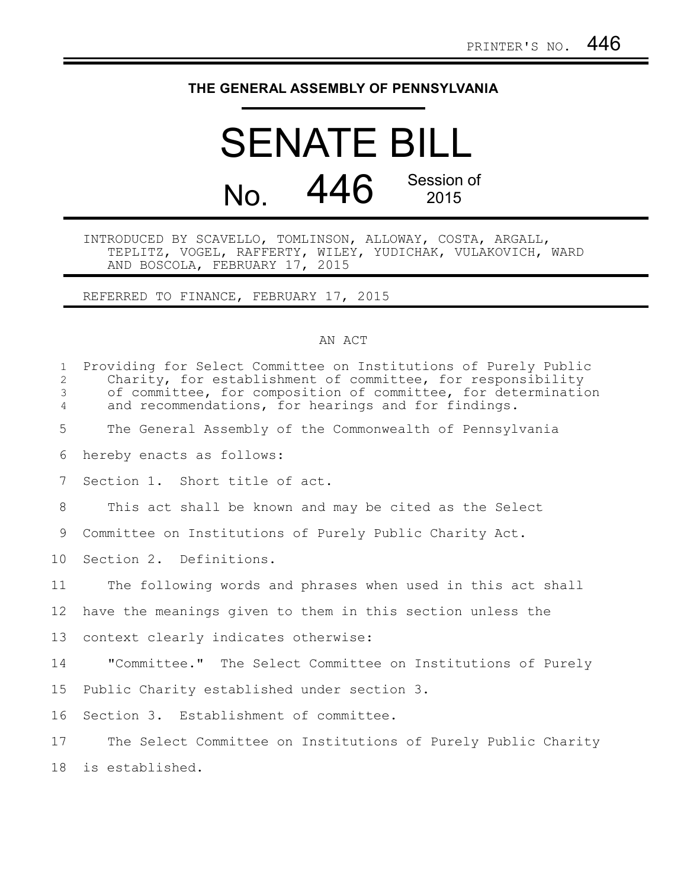## **THE GENERAL ASSEMBLY OF PENNSYLVANIA**

## SENATE BILL No. 446 Session of 2015

## INTRODUCED BY SCAVELLO, TOMLINSON, ALLOWAY, COSTA, ARGALL, TEPLITZ, VOGEL, RAFFERTY, WILEY, YUDICHAK, VULAKOVICH, WARD AND BOSCOLA, FEBRUARY 17, 2015

REFERRED TO FINANCE, FEBRUARY 17, 2015

## AN ACT

| $\mathbf{1}$<br>2<br>3<br>$\overline{4}$ | Providing for Select Committee on Institutions of Purely Public<br>Charity, for establishment of committee, for responsibility<br>of committee, for composition of committee, for determination<br>and recommendations, for hearings and for findings. |
|------------------------------------------|--------------------------------------------------------------------------------------------------------------------------------------------------------------------------------------------------------------------------------------------------------|
| 5                                        | The General Assembly of the Commonwealth of Pennsylvania                                                                                                                                                                                               |
| 6                                        | hereby enacts as follows:                                                                                                                                                                                                                              |
| 7                                        | Section 1. Short title of act.                                                                                                                                                                                                                         |
| 8                                        | This act shall be known and may be cited as the Select                                                                                                                                                                                                 |
| 9                                        | Committee on Institutions of Purely Public Charity Act.                                                                                                                                                                                                |
| 10 <sup>°</sup>                          | Section 2. Definitions.                                                                                                                                                                                                                                |
| 11                                       | The following words and phrases when used in this act shall                                                                                                                                                                                            |
| 12 <sup>°</sup>                          | have the meanings given to them in this section unless the                                                                                                                                                                                             |
| 13                                       | context clearly indicates otherwise:                                                                                                                                                                                                                   |
| 14                                       | "Committee." The Select Committee on Institutions of Purely                                                                                                                                                                                            |
| 15                                       | Public Charity established under section 3.                                                                                                                                                                                                            |
| 16                                       | Section 3. Establishment of committee.                                                                                                                                                                                                                 |
| 17                                       | The Select Committee on Institutions of Purely Public Charity                                                                                                                                                                                          |
| 18                                       | is established.                                                                                                                                                                                                                                        |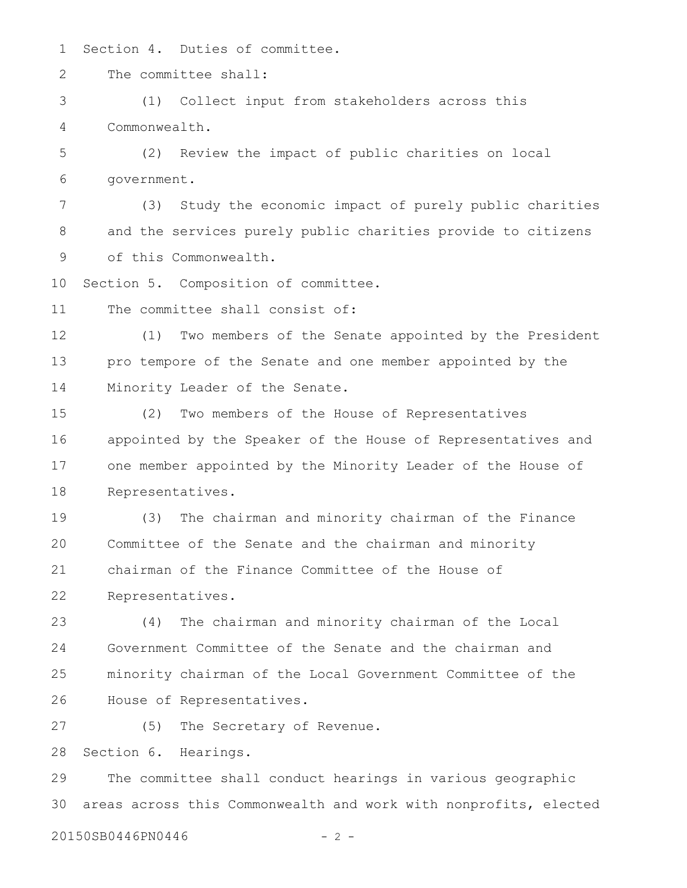Section 4. Duties of committee. 1

The committee shall: 2

(1) Collect input from stakeholders across this Commonwealth. 3 4

(2) Review the impact of public charities on local government. 5 6

(3) Study the economic impact of purely public charities and the services purely public charities provide to citizens of this Commonwealth. 7 8 9

Section 5. Composition of committee. 10

The committee shall consist of: 11

(1) Two members of the Senate appointed by the President pro tempore of the Senate and one member appointed by the Minority Leader of the Senate. 12 13 14

(2) Two members of the House of Representatives appointed by the Speaker of the House of Representatives and one member appointed by the Minority Leader of the House of Representatives. 15 16 17 18

(3) The chairman and minority chairman of the Finance Committee of the Senate and the chairman and minority chairman of the Finance Committee of the House of Representatives. 19 20 21 22

(4) The chairman and minority chairman of the Local Government Committee of the Senate and the chairman and minority chairman of the Local Government Committee of the House of Representatives. 23 24 25 26

(5) The Secretary of Revenue. 27

Section 6. Hearings. 28

The committee shall conduct hearings in various geographic areas across this Commonwealth and work with nonprofits, elected 29 30

20150SB0446PN0446 - 2 -